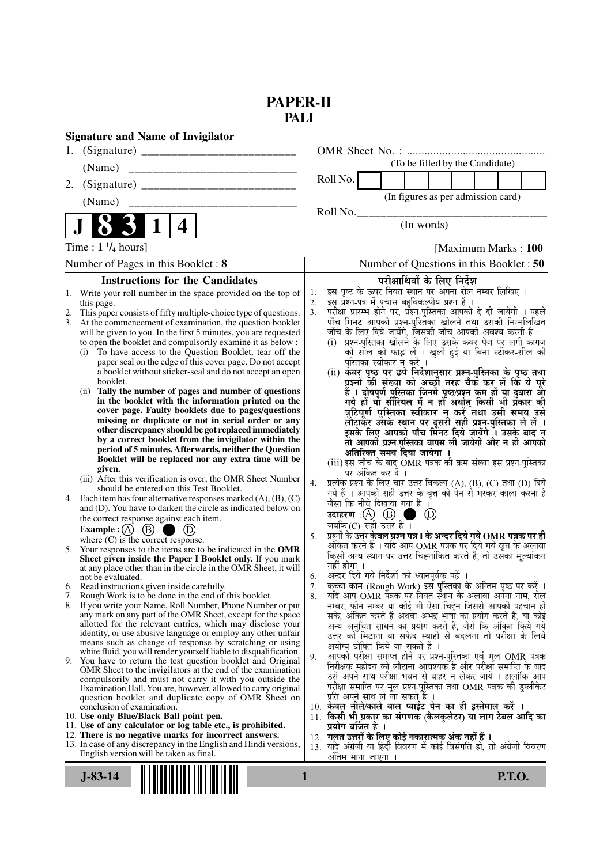## **PAPER-II PALI**

|    | <b>Signature and Name of Invigilator</b>                                                                                          |          |                                                                                                                                               |
|----|-----------------------------------------------------------------------------------------------------------------------------------|----------|-----------------------------------------------------------------------------------------------------------------------------------------------|
|    |                                                                                                                                   |          |                                                                                                                                               |
|    | (Name)                                                                                                                            |          | (To be filled by the Candidate)                                                                                                               |
| 2. |                                                                                                                                   |          | Roll No.                                                                                                                                      |
|    | (Name)                                                                                                                            |          | (In figures as per admission card)                                                                                                            |
|    |                                                                                                                                   |          | Roll No.<br>(In words)                                                                                                                        |
|    | 4                                                                                                                                 |          |                                                                                                                                               |
|    | Time: $1\frac{1}{4}$ hours]                                                                                                       |          | [Maximum Marks: 100]                                                                                                                          |
|    | Number of Pages in this Booklet: 8                                                                                                |          | Number of Questions in this Booklet : 50                                                                                                      |
|    | <b>Instructions for the Candidates</b>                                                                                            |          | परीक्षार्थियों के लिए निर्देश                                                                                                                 |
|    | 1. Write your roll number in the space provided on the top of                                                                     | 1.<br>2. | इस पृष्ठ के ऊपर नियत स्थान पर अपना रोल नम्बर लिखिए ।<br>इस प्रश्न-पत्र में पचास बहुविकल्पीय प्रश्न हैं।                                       |
| 2. | this page.<br>This paper consists of fifty multiple-choice type of questions.                                                     | 3.       | परीक्षा प्रारम्भ होने पर, प्रॅश्न-पुस्तिका आपको दे दी जायेगी । पहले                                                                           |
|    | 3. At the commencement of examination, the question booklet                                                                       |          | पाँच मिनट आपको प्रश्न-पुस्तिका खोलने तथा उसकी निम्नलिखित                                                                                      |
|    | will be given to you. In the first 5 minutes, you are requested                                                                   |          | जाँच के लिए दिये जायेंगे, जिसकी जाँच आपको अवश्य करनी है :                                                                                     |
|    | to open the booklet and compulsorily examine it as below :<br>To have access to the Question Booklet, tear off the<br>(i)         |          | (i) प्रश्न-पुस्तिका खोलने के लिए उसके कवर पेज पर लगी कागज<br>की सील को फाड़ लें । खुली हुई या बिना स्टीकर-सील की                              |
|    | paper seal on the edge of this cover page. Do not accept                                                                          |          | पुस्तिका स्वीकार न करें ।                                                                                                                     |
|    | a booklet without sticker-seal and do not accept an open                                                                          |          | (ii) कवर पृष्ठ पर छपे निर्देशानुसार प्रश्न-पुस्तिका के पृष्ठ तथा                                                                              |
|    | booklet.<br>Tally the number of pages and number of questions<br>(ii)                                                             |          | प्रश्नों की संख्या को अच्छौ तरह चैक कर लें कि ये पूरे                                                                                         |
|    | in the booklet with the information printed on the                                                                                |          | हैं । दोषपूर्ण पुस्तिका जिनमें पृष्ठ/प्रश्न कम हों या दुबारा आ<br>गये हो या सीरियल में न हो अर्थात् किसी भी प्रकार की                         |
|    | cover page. Faulty booklets due to pages/questions                                                                                |          | त्रुटिपूर्ण पुस्तिका स्वीकार न करें तथा उसी समय उसे                                                                                           |
|    | missing or duplicate or not in serial order or any                                                                                |          | लौटाकेर उसके स्थान पर दूसरी सही प्रश्न-पुस्तिका ले लें ।                                                                                      |
|    | other discrepancy should be got replaced immediately<br>by a correct booklet from the invigilator within the                      |          | इसके लिए आपको पाँच मिनट दिये जायेंगे । उसके बाद न<br>तो आपकी प्रश्न-पुस्तिका वापस ली जायेगी और न ही आपको                                      |
|    | period of 5 minutes. Afterwards, neither the Question                                                                             |          | अतिरिक्त समय दिया जायेगा                                                                                                                      |
|    | Booklet will be replaced nor any extra time will be                                                                               |          | (iii) इस जाँच के बाद OMR पत्रक की क्रम संख्या इस प्रश्न-पुस्तिका                                                                              |
|    | given.<br>(iii) After this verification is over, the OMR Sheet Number                                                             |          | पर अंकित कर दें ।                                                                                                                             |
|    | should be entered on this Test Booklet.                                                                                           | 4.       | प्रत्येक प्रश्न के लिए चार उत्तर विकल्प (A), (B), (C) तथा (D) दिये<br>गये हैं । आपको सही उत्तर के वृत्त को पेन से भरकर काला करना है           |
|    | 4. Each item has four alternative responses marked $(A)$ , $(B)$ , $(C)$                                                          |          | जैसा कि नीचे दिखाया गया है।                                                                                                                   |
|    | and (D). You have to darken the circle as indicated below on<br>the correct response against each item.                           |          | (D)                                                                                                                                           |
|    | Example : $(A)$ $(B)$<br>$\left( D\right)$                                                                                        |          | जबकि(C) सही उत्तर है ।                                                                                                                        |
|    | where $(C)$ is the correct response.                                                                                              | 5.       | प्रश्नों के उत्तर <b>केवल प्रश्न पत्र I के अन्दर दिये गये OMR पत्रक पर ही</b><br>अंकित करने हैं । यदि आप OMR पत्रक पर दिये गये वृत्त के अलावा |
|    | 5. Your responses to the items are to be indicated in the OMR                                                                     |          | किसी अन्य स्थान पर उत्तर चिह्नांकित करते हैं, तो उसँका मूल्यांकन                                                                              |
|    | Sheet given inside the Paper I Booklet only. If you mark<br>at any place other than in the circle in the OMR Sheet, it will       |          | नहीं होगा ।                                                                                                                                   |
|    | not be evaluated.                                                                                                                 | 6.       | अन्दर दिये गये निर्देशों को ध्यानपूर्वक पढ़ें                                                                                                 |
|    | 6. Read instructions given inside carefully.<br>7. Rough Work is to be done in the end of this booklet.                           | 7.<br>8. | कच्चा काम (Rough Work) इस पुस्तिका के अन्तिम पृष्ठ पर करें ।<br>यदि आप OMR पत्रक पर नियत स्थान के अलावा अपना नाम, रोल                         |
|    | 8. If you write your Name, Roll Number, Phone Number or put                                                                       |          | नम्बर, फोन नम्बर या कोई भी ऐसा चिह्न जिससे आपकी पहचान हो                                                                                      |
|    | any mark on any part of the OMR Sheet, except for the space                                                                       |          | सके, अंकित करते हैं अथवा अभद्र भाषा का प्रयोग करते हैं, या कोई                                                                                |
|    | allotted for the relevant entries, which may disclose your<br>identity, or use abusive language or employ any other unfair        |          | अन्य अनुचित साधन का प्रयोग करते हैं, जैसे कि अंकित किये गये<br>उत्तर को मिटाना या सफेद स्याही से बदलना तो परीक्षा के लिये                     |
|    | means such as change of response by scratching or using                                                                           |          | अयोग्य घोषित किये जा सकते हैं ।                                                                                                               |
|    | white fluid, you will render yourself liable to disqualification.<br>9. You have to return the test question booklet and Original | 9.       | आपको परीक्षा समाप्त होने पर प्रश्न-पुस्तिका एवं मूल OMR पत्रक                                                                                 |
|    | OMR Sheet to the invigilators at the end of the examination                                                                       |          | निरीक्षक महोदय को लौटाना आवश्यक है और परीक्षा समाप्ति के बाद                                                                                  |
|    | compulsorily and must not carry it with you outside the                                                                           |          | उसे अपने साथ परीक्षा भवन से बाहर न लेकर जायें । हालांकि आप<br>परीक्षा समाप्ति पर मूल प्रश्न-पुस्तिका तथा OMR पत्रक की डुप्लीकेट               |
|    | Examination Hall. You are, however, allowed to carry original<br>question booklet and duplicate copy of OMR Sheet on              |          | प्रति अपने साथ ले जा सकते है ।                                                                                                                |
|    | conclusion of examination.                                                                                                        |          | 10. केवल नीले/काले बाल प्वाईंट पेन का ही इस्तेमाल करें ।                                                                                      |
|    | 10. Use only Blue/Black Ball point pen.                                                                                           |          | 11. किसी भी प्रकार का संगणक (कैलकुलेटर) या लाग टेबल आदि का                                                                                    |
|    | 11. Use of any calculator or log table etc., is prohibited.<br>12. There is no negative marks for incorrect answers.              |          | प्रयोग वर्जित है ।<br>12.  गलत उत्तरों के लिए कोई नकारात्मक अंक नहीं हैं ।                                                                    |
|    | 13. In case of any discrepancy in the English and Hindi versions,                                                                 |          | 13. यदि अंग्रेजी या हिंदी विवरण में कोई विसंगति हो, तो अंग्रेजी विवरण                                                                         |
|    | English version will be taken as final.                                                                                           |          | अंतिम माना जाएगा                                                                                                                              |
|    | $J-83-14$                                                                                                                         | 1        | <b>P.T.O.</b>                                                                                                                                 |
|    |                                                                                                                                   |          |                                                                                                                                               |
|    |                                                                                                                                   |          |                                                                                                                                               |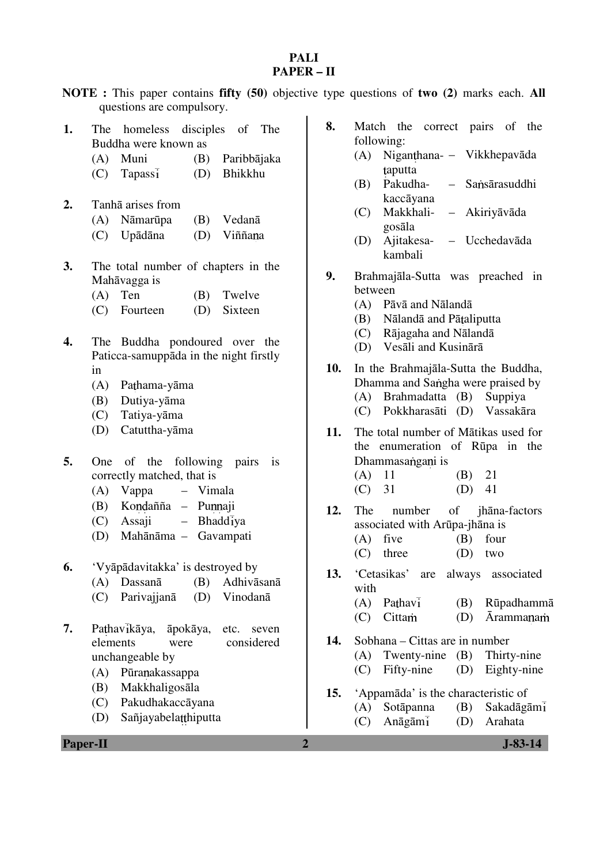## **PALI PAPER – II**

| NOTE: This paper contains fifty (50) objective type questions of two (2) marks each. All<br>questions are compulsory.                                                                                                                              |                                        |                                                                                                                                                                                                                                                     |
|----------------------------------------------------------------------------------------------------------------------------------------------------------------------------------------------------------------------------------------------------|----------------------------------------|-----------------------------------------------------------------------------------------------------------------------------------------------------------------------------------------------------------------------------------------------------|
| 1.<br>homeless disciples of<br>The<br>Buddha were known as<br>Muni<br>Paribbājaka<br>(A)<br>(B)<br>Bhikkhu<br>Tapass <sub>1</sub><br>(C)<br>(D)<br>2.<br>Tanhā arises from<br>Nāmarūpa<br>Vedanā<br>(B)<br>(A)<br>Upādāna<br>(C)<br>(D)<br>Viññana | 8.<br>The<br>(A)<br>(B)<br>(C)<br>(D)  | Match the correct pairs of the<br>following:<br>Niganthana- - Vikkhepavāda<br>taputta<br>Pakudha-<br>Sansārasuddhi<br>$\overline{\phantom{0}}$<br>kaccāyana<br>Makkhali-<br>- Akiriyāvāda<br>gosāla<br>Ajitakesa- – Ucchedavāda<br>kambali          |
| 3.<br>The total number of chapters in the<br>Mahāvagga is<br>Twelve<br>(A)<br>Ten<br>(B)<br>Sixteen<br>(C)<br>(D)<br>Fourteen<br>4.<br>The Buddha pondoured over the                                                                               | 9.<br>(C)<br>(D)                       | Brahmajāla-Sutta was preached in<br>between<br>(A) Pāvā and Nālandā<br>Nālandā and Pātaliputta<br>(B)<br>Rājagaha and Nālandā<br>Vesāli and Kusinārā                                                                                                |
| Paticca-samuppāda in the night firstly<br>in<br>(A)<br>Pathama-yāma<br>(B)<br>Dutiya-yāma<br>Tatiya-yāma<br>(C)<br>Catuttha-yāma<br>(D)                                                                                                            | 10.<br>(C)                             | In the Brahmajala-Sutta the Buddha,<br>Dhamma and Sangha were praised by<br>(A) Brahmadatta (B)<br>Suppiya<br>Pokkharasāti (D) Vassakāra                                                                                                            |
| 5.<br>of the following pairs is<br>One<br>correctly matched, that is<br>(A)<br>Vappa<br>- Vimala<br>Kondañña - Punnaji<br>(B)<br>Bhaddiya<br>Assaji<br>(C)<br>$-$<br>(D) Mahānāma - Gavampati                                                      | 11.<br>(A)<br>(C)<br>12.<br>The<br>(C) | The total number of Mātikas used for<br>the enumeration of Rūpa in the<br>Dhammasangani is<br>11<br>(B)<br>21<br>31<br>41<br>(D)<br>number<br>of<br>jhāna-factors<br>associated with Arūpa-jhāna is<br>$(A)$ five $(B)$ four<br>three<br>(D)<br>two |
| 6.<br>'Vyāpādavitakka' is destroyed by<br>Dassanā<br>(B)<br>Adhivāsanā<br>(A)<br>Parivajjanā<br>Vinodanā<br>(C)<br>(D)                                                                                                                             | 13.<br>(A)                             | 'Cetasikas'<br>always<br>associated<br>are<br>with<br>Pathavi<br>(B)<br>Rūpadhammā                                                                                                                                                                  |
| 7.<br>Pathavikāya,<br>āpokāya,<br>etc.<br>seven<br>elements<br>considered<br>were<br>unchangeable by<br>Pūranakassappa<br>(A)                                                                                                                      | (C)<br>14.<br>(A)<br>(C)               | Cittam<br><b>Arammanam</b><br>(D)<br>Sobhana – Cittas are in number<br>Thirty-nine<br>Twenty-nine<br>(B)<br>Fifty-nine<br>Eighty-nine<br>(D)                                                                                                        |
| Makkhaligosāla<br>(B)<br>Pakudhakaccāyana<br>(C)<br>Sañjayabelatthiputta<br>(D)                                                                                                                                                                    | 15.<br>(A)<br>(C)                      | 'Appamāda' is the characteristic of<br>Sotāpanna<br>(B)<br>Sakadāgāmi<br>Anāgāmi<br>(D)<br>Arahata                                                                                                                                                  |
| <b>Paper-II</b>                                                                                                                                                                                                                                    | $\overline{2}$                         | $J-83-14$                                                                                                                                                                                                                                           |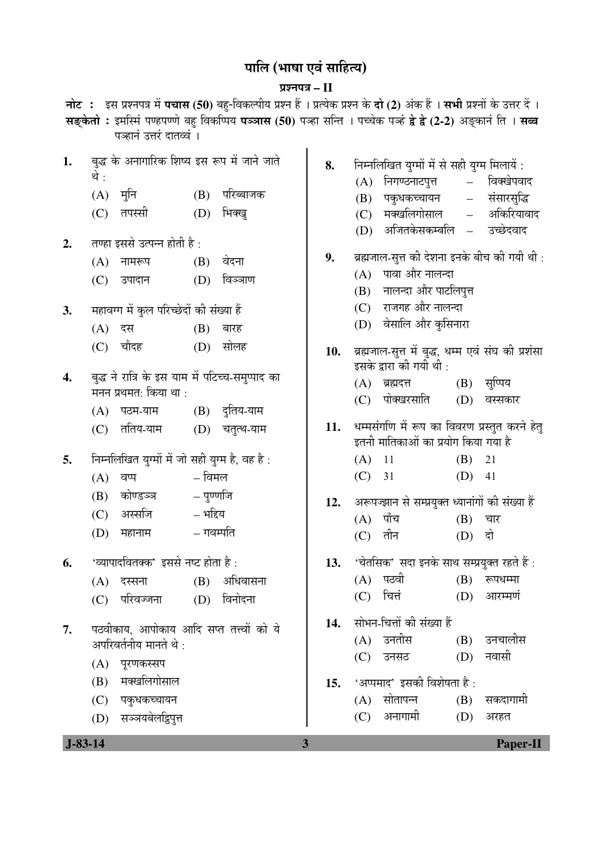## <u>पालि (भाषा एवं साहित्य)</u>

## प्रश्नपत्र – II

| नोट : इस प्रश्नपत्र में पचास (50) बहु-विकल्पीय प्रश्न हैं । प्रत्येक प्रश्न के दो (2) अंक हैं । सभी प्रश्नों के उत्तर दें ।<br>सङ्केतो : इमस्मिं पण्हपण्णे बहु विकप्पिय पञ्जास (50) पञ्हा सन्ति । पच्चेक पञ्हं द्वे द्वे (2-2) अङ्कानं ति । सब्ब |             |                                                                           |           |               |                         |            |                                                                                      |                                |                           |
|--------------------------------------------------------------------------------------------------------------------------------------------------------------------------------------------------------------------------------------------------|-------------|---------------------------------------------------------------------------|-----------|---------------|-------------------------|------------|--------------------------------------------------------------------------------------|--------------------------------|---------------------------|
| पञ्हानं उत्तरं दातव्वं ।                                                                                                                                                                                                                         |             |                                                                           |           |               |                         |            |                                                                                      |                                |                           |
| 1.                                                                                                                                                                                                                                               | थे :<br>(A) | बुद्ध के अनागारिक शिष्य इस रूप में जाने जाते<br>मुनि                      | (B)       | परिब्बाजक     | 8.                      | (A)<br>(B) | निम्नलिखित युग्मों में से सही युग्म मिलायें :<br>निगण्ठनाटपुत्त<br>पकुधकच्चायन       | $\frac{1}{2}$<br>$\frac{1}{2}$ | विक्खेपवाद<br>संसारसुद्धि |
|                                                                                                                                                                                                                                                  | (C)         | तपस्सी                                                                    | (D)       | भिक्खु        |                         | (C)<br>(D) | मक्खलिगोसाल<br>अजितकेसकम्बलि –                                                       | $\equiv$                       | अकिरियावाद<br>उच्छेदवाद   |
| 2.                                                                                                                                                                                                                                               |             | तण्हा इससे उत्पन्न होती है:                                               |           |               |                         |            |                                                                                      |                                |                           |
|                                                                                                                                                                                                                                                  | (A)         | नामरूप                                                                    | (B)       | वेदना         | 9.                      |            | ब्रह्मजाल-सुत्त की देशना इनके बीच की गयी थी :<br>पावा और नालन्दा                     |                                |                           |
|                                                                                                                                                                                                                                                  | (C)         | उपादान                                                                    | (D)       | विञ्ञाण       |                         | (A)<br>(B) | नालन्दा और पाटलिपुत्त                                                                |                                |                           |
| 3.                                                                                                                                                                                                                                               |             | महावग्ग में कुल परिच्छेदों की संख्या हैं                                  |           |               |                         | (C)        | राजगह और नालन्दा                                                                     |                                |                           |
|                                                                                                                                                                                                                                                  | (A)         | दस                                                                        | (B)       | बारह          |                         |            | (D) वेसालि और कुसिनारा                                                               |                                |                           |
|                                                                                                                                                                                                                                                  | (C)         | चौदह                                                                      | (D)       | सोलह          | 10.                     |            | ब्रह्मजाल-सुत्त में बुद्ध, धम्म एवं संघ की प्रशंसा<br>इसके द्वारा की गयी थी :        |                                |                           |
| 4.                                                                                                                                                                                                                                               |             | बुद्ध ने रात्रि के इस याम में पटिच्च-समुप्पाद का<br>मनन प्रथमत: किया था : |           |               |                         | (A)        | ब्रह्मदत्त<br>पोक्खरसाति                                                             | (B)<br>(D)                     | सुप्पिय<br>वस्सकार        |
|                                                                                                                                                                                                                                                  | (A)         | पठम-याम                                                                   |           | (B) दुतिय-याम |                         | (C)        |                                                                                      |                                |                           |
|                                                                                                                                                                                                                                                  | (C)         | ततिय-याम                                                                  | (D)       | चतुत्थ-याम    | 11.                     |            | धम्मसंगणि में रूप का विवरण प्रस्तुत करने हेतु<br>इतनी मातिकाओं का प्रयोग किया गया है |                                |                           |
| 5.                                                                                                                                                                                                                                               |             | निम्नलिखित युग्मों में जो सही युग्म है, वह है:                            |           |               |                         | (A)        | 11                                                                                   | (B)                            | 21                        |
|                                                                                                                                                                                                                                                  | (A)         | वप्प                                                                      | – विमल    |               |                         | (C)        | 31                                                                                   | (D)                            | 41                        |
|                                                                                                                                                                                                                                                  | (B)         | कोण्डञ्ज                                                                  | – पुण्णजि |               | 12.                     |            | अरूपज्झान से सम्प्रयुक्त ध्यानांगों की संख्या हैं                                    |                                |                           |
|                                                                                                                                                                                                                                                  | (C)         | अस्सजि                                                                    | – भद्दिय  |               |                         | (A)        | पाँच                                                                                 | (B)                            | चार                       |
|                                                                                                                                                                                                                                                  | (D)         | महानाम                                                                    | – गवम्पति |               |                         | (C)        | तीन                                                                                  | (D)                            | दो                        |
| 6.                                                                                                                                                                                                                                               |             | 'व्यापादवितक्क' इससे नष्ट होता है:                                        |           |               | 13.                     |            | 'चेतसिक' सदा इनके साथ सम्प्रयुक्त रहते हैं:                                          |                                |                           |
|                                                                                                                                                                                                                                                  | (A)         | दस्सना                                                                    | (B)       | अधिवासना      |                         |            | (A) पठवी                                                                             | (B)                            | रूपधम्मा                  |
|                                                                                                                                                                                                                                                  | (C)         | परिवज्जना                                                                 | (D)       | विनोदना       |                         | (C)        | चित्तं                                                                               | (D)                            | आरम्मणं                   |
| 7.                                                                                                                                                                                                                                               |             | पठवीकाय, आपोकाय आदि सप्त तत्त्वों को ये                                   |           |               | 14.                     |            | सोभन-चित्तों की संख्या हैं                                                           |                                |                           |
|                                                                                                                                                                                                                                                  |             | अपरिवर्तनीय मानते थे :                                                    |           |               |                         |            | (A) उनतीस                                                                            | (B)                            | उनचालीस                   |
|                                                                                                                                                                                                                                                  |             | (A) पूरणकस्सप                                                             |           |               |                         |            | (C) उनसठ                                                                             | (D)                            | नवासी                     |
|                                                                                                                                                                                                                                                  | (B)         | मक्खलिगोसाल                                                               |           |               | 15.                     |            | 'अप्पमाद' इसकी विशेषता है :                                                          |                                |                           |
|                                                                                                                                                                                                                                                  |             | (C) पकुधकच्चायन                                                           |           |               |                         |            | $(A)$ सोतापन्न                                                                       | (B)                            | सकदागामी                  |
|                                                                                                                                                                                                                                                  |             | (D) सञ्जयबेलट्टिपुत्त                                                     |           |               |                         | (C)        | अनागामी                                                                              | (D)                            | अरहत                      |
| $J-83-14$                                                                                                                                                                                                                                        |             |                                                                           |           |               | $\overline{\mathbf{3}}$ |            |                                                                                      |                                | <b>Paper-II</b>           |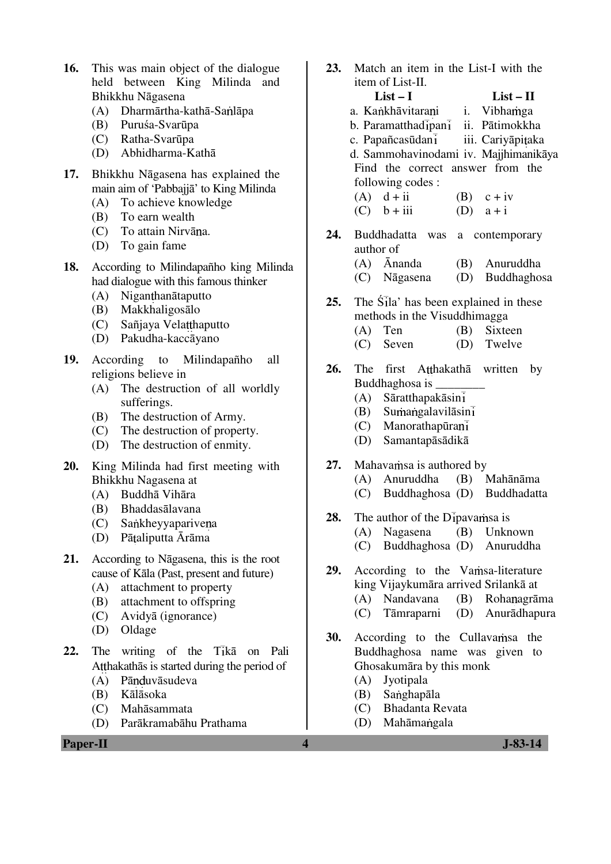- **16.** This was main object of the dialogue held between King Milinda and Bhikkhu Nāgasena
	- $(A)$  Dharmārtha-kathā-Sanlāpa
	- (B) Puruśa-Svarūpa
	- (C) Ratha-Svarūpa
	- (D) Abhidharma-Kathā
- **17.** Bhikkhu Nāgasena has explained the main aim of 'Pabbajjā' to King Milinda
	- (A) To achieve knowledge
	- (B) To earn wealth
	- (C) To attain Nirvāna.
	- (D) To gain fame
- **18.** According to Milindapañho king Milinda had dialogue with this famous thinker
	- (A) Niganthanātaputto
	- (B) Makkhaligosālo
	- (C) Sañjaya Velatthaputto
	- (D) Pakudha-kaccāyano
- **19.** According to Milindapañho all religions believe in
	- (A) The destruction of all worldly sufferings.
	- (B) The destruction of Army.
	- (C) The destruction of property.
	- (D) The destruction of enmity.
- **20.** King Milinda had first meeting with Bhikkhu Nagasena at
	- (A) Buddhā Vihāra
	- (B) Bhaddasālavana
	- (C) Sankheyyapariyena
	- (D) Pātaliputta Ārāma
- **21.** According to Nāgasena, this is the root cause of Kāla (Past, present and future)
	- (A) attachment to property
	- (B) attachment to offspring
	- (C) Avidyā (ignorance)
	- (D) Oldage
- 22. The writing of the Tika on Pali Atthakathās is started during the period of
	- (A) Pānduvāsudeva
	- (B) Kālāsoka
	- (C) Mahāsammata
	- (D) Parākramabāhu Prathama

**Paper-II** J-83-14

- **23.** Match an item in the List-I with the item of List-II. **List – I List – II**  a. Kankhāvitarani i. Vibhamga  $b.$  Paramatthad $\overline{1}$ pan $\overline{1}$  ii. Pātimokkha c. Papañcasūdan<sup>1</sup> iii. Cariyāpitaka d. Sammohavinodami iv. Majjhimanikāya Find the correct answer from the following codes :
	- (A)  $d + ii$  (B)  $c + iv$  $(C)$  b + iii  $(D)$  a + i
- **24.** Buddhadatta was a contemporary author of (A) Ānanda (B) Anuruddha
	- (C) Nāgasena (D) Buddhaghosa
- **25.** The Sila' has been explained in these methods in the Visuddhimagga
	- (A) Ten (B) Sixteen
	- (C) Seven (D) Twelve
- 26. The first Atthakatha written by Buddhaghosa is \_\_\_\_\_\_\_\_
	- (A) Sāratthapakāsin
	- $(B)$  Sumangalavilāsinī
	- (C) Manorathapūra
	- (D) Samantapāsādikā
- 27. Mahavamsa is authored by
	- (A) Anuruddha (B) Mahānāma
	- (C) Buddhaghosa (D) Buddhadatta
- **28.** The author of the D<sub>I</sub> pavamsa is
	- (A) Nagasena (B) Unknown
	- (C) Buddhaghosa (D) Anuruddha
- 29. According to the Vamsa-literature king Vijaykumāra arrived Srilankā at (A) Nandavana (B) Rohanagrāma
	- (C) Tāmraparni (D) Anurādhapura
- **30.** According to the Cullavamsa the Buddhaghosa name was given to Ghosakumāra by this monk
	- (A) Jyotipala
	- (B) Sanghapāla
	- (C) Bhadanta Revata
	- (D) Mahāmangala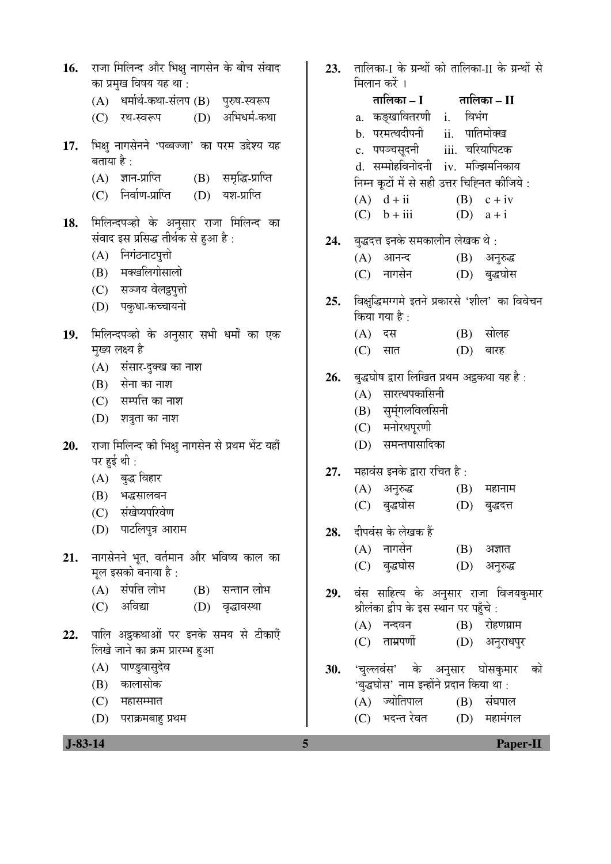|     |                                | 16.   राजा मिलिन्द और भिक्षु नागसेन के बीच संवाद<br>का प्रमुख विषय यह था:             | 23.        | तारि<br>मिल                |
|-----|--------------------------------|---------------------------------------------------------------------------------------|------------|----------------------------|
|     |                                | (A) धर्मार्थ-कथा-संलप (B) पुरुष-स्वरूप                                                |            |                            |
|     |                                | (D) अभिधर्म-कथा<br>(C) रथ-स्वरूप                                                      |            | a.                         |
| 17. | बताया है :                     | भिक्षु नागसेनने 'पब्बज्जा' का परम उद्देश्य यह                                         |            | b.<br>c.                   |
|     |                                | (B) समृद्धि-प्राप्ति<br>(A) ज्ञान-प्राप्ति<br>(C) निर्वाण-प्राप्ति<br>(D) यश-प्राप्ति |            | d.<br>निम्न<br>(A)         |
| 18. |                                | मिलिन्दपञ्हो के अनुसार राजा मिलिन्द का                                                |            | (C)                        |
|     |                                | संवाद इस प्रसिद्ध तीर्थक से हुआ है :                                                  | 24.        | बुद्ध                      |
|     |                                | (A) निगंठनाटपुत्तो                                                                    |            | (A)                        |
|     |                                | (B) मक्खलिगोसालो                                                                      |            | (C)                        |
|     |                                | (C) सञ्जय वेलद्दपुत्तो                                                                |            | विक्ष्                     |
|     |                                | (D) पकुधा-कच्चायनो                                                                    | 25.        | किट                        |
| 19. |                                | मिलिन्दपञ्हो के अनुसार सभी धर्मों का एक                                               |            | (A)                        |
|     |                                | मुख्य लक्ष्य है                                                                       |            | (C)                        |
|     |                                | (A) संसार-दुक्ख का नाश                                                                | 26.        | बुद्ध                      |
|     |                                | (B) सेना का नाश                                                                       |            | (A)                        |
|     |                                | $(C)$ सम्पत्ति का नाश                                                                 |            | (B)                        |
|     |                                | $(D)$ शत्रुता का नाश                                                                  |            | (C)                        |
| 20. | पर हुई थी :                    | राजा मिलिन्द की भिक्षु नागसेन से प्रथम भेंट यहाँ                                      |            | $\left( \mathrm{D}\right)$ |
|     |                                | (A) बुद्ध विहार                                                                       | 27.        | महा                        |
|     |                                | (B) भद्धसालवन                                                                         |            | (A)                        |
|     |                                | (C) संखेप्यपरिवेण                                                                     |            | (C)                        |
|     |                                | (D) पाटलिपुत्र आराम                                                                   | 28.        | दीप                        |
|     |                                | $21.$ नागसेनने भूत, वर्तमान और भविष्य काल का                                          |            | (A)                        |
|     | मूल इसको बनाया है :            |                                                                                       | (C)        |                            |
|     |                                | (A) संपत्ति लोभ<br>(B) सन्तान लोभ                                                     | 29.        | वंस                        |
|     |                                | (C) अविद्या<br>(D) वृद्धावस्था                                                        |            | श्रील                      |
|     |                                | पालि अट्ठकथाओं पर इनके समय से टीकाएँ                                                  |            | (A)                        |
| 22. | लिखे जाने का क्रम प्रारम्भ हुआ |                                                                                       | (C)        |                            |
|     |                                | (A) पाण्डुवासुदेव                                                                     | <b>30.</b> | 'चुत्                      |
|     |                                | (B) कालासोक                                                                           |            | 'बुद्                      |
|     |                                | $(C)$ महासम्मात                                                                       |            | (A)                        |
|     |                                | (D) पराक्रमबाहु प्रथम                                                                 |            | (C)                        |

.<br>लका-1 के ग्रन्थों को तालिका-11 के ग्रन्थों से गन करें । ŸÖÖ×»ÖÛúÖ **– I** ŸÖÖ×»ÖÛúÖ **– II**  कङ्खावितरणी i. विभंग परमत्थदीपनी ii. पातिमोक्ख पपञ्चसूदनी iii. चरियापिटक सम्मोहविनोदनी iv. मज्झिमनिकाय न कूटों में से सही उत्तर चिह्नित कीजिये :  $(d + ii)$   $(B)$   $c + iv$  $b + iii$  (D)  $a + i$ .<br><del>दत्त</del> इनके समकालीन लेखक थे : (A) †Ö®Ö®¤ü (B) †®Öã¹ý¨ü नागसेन (D) बुद्धघोस <u>भु</u>द्धिमग्गमे इतने प्रकारसे 'शील' का विवेचन था गया है : दस (B) सोलह सात (D) बारह .<br><sub>शोष द्वारा लिखित प्रथम अट्ठकथा यह है :</sub> ) सारत्थपकासिनी सुम्ंगलविलसिनी मनोरथपुरणी ) समन्तपासादिका lवंस इनके द्वारा रचित है : (A) †®Öã¹ý¨ü (B) ´ÖÆüÖ®ÖÖ´Ö (C) ²Öã¨ü'ÖÖêÃÖ (D) ²Öã¨ü¤ü¢Ö .<br>वंस के लेखक हैं ) नागसेन (B) अज्ञात (C) ²Öã¨ü'ÖÖêÃÖ (D) †®Öã¹ý¨ü साहित्य के अनुसार राजा विजयकुमार .<br>लंका द्वीप के इस स्थान पर पहँचे : (A) ®Ö®¤ü¾Ö®Ö (B) ¸üÖêÆüÞÖÝÖÏÖ´Ö ताम्रपर्णी (D) अनुराधपुर .<br>रलवंस' के अनुसार घोसकुमार को द्वघोस' नाम इन्होंने प्रदान किया था :<br>) ज्योतिपाल (B) संघपात  $(B)$  संघपाल भदन्त रेवत (D) महामंगल

 **J-83-14 5 Paper-II**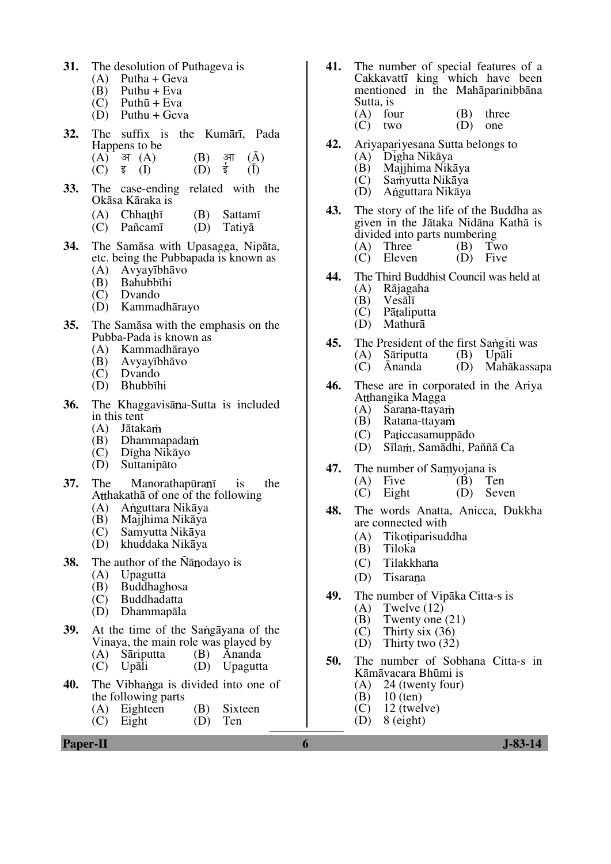- **31.** The desolution of Puthageva is
	- $(A)$  Putha + Geva
	- (B) Puthu + Eva<br>(C) Puthū + Eva
	- Puthū + Eva
	- $(D)$  Puthu + Geva
- **32.** The suffix is the Kumārī, Pada Happens to be
	- (A)  $\overline{3}$  (A) (B)  $\overline{3}$  (A) (C)  $\overline{5}$  (I) (D)  $\overline{5}$  (I)  $(C)$   $\overline{z}$   $(I)$
- **33.** The case-ending related with the Okāsa Kāraka is
	- (A) Chhatthī (B) Sattamī
	- (C) Pañcamī (D) Tatiyā
- **34.** The Samāsa with Upasagga, Nipāta, etc. being the Pubbapada is known as
	- (A) Avyayībhāvo
	- Bahubbīhi
	- (C) Dvando
	- (D) Kammadhārayo
- **35.** The Samāsa with the emphasis on the Pubba-Pada is known as
	- (A) Kammadhārayo
	- (B) Avyayībhāvo
	- (C) Dvando
	- Bhubbīhi
- **36.** The Khaggavisana-Sutta is included in this tent<br> $(A)$  Jātak
	- Jātakam
	- (B) Dhammapada
	- (C) Dīgha Nikāyo
	- **Suttanipāto**
- **37.** The Manorathapurani is the Atthakathā of one of the following<br>(A) Anguttara Nikāva
	- A nguttara Nikāya
	-
	- (B) Majjhima Nikāya Samyutta Nikāya
	- (D) khuddaka Nikāya
- **38.** The author of the Nanodayo is
	- (A) Upagutta
	- (B) Buddhaghosa
	- **Buddhadatta**
	- (D) Dhammapāla
- **39.** At the time of the Sangavana of the Vinaya, the main role was played by
	- (A) Sāriputta (B) Ānanda
	- (C) Upāli (D) Upagutta
- **40.** The Vibhanga is divided into one of the following parts
	- (A) Eighteen (B) Sixteen<br>(C) Eight (D) Ten
	- Eight
- **41.** The number of special features of a Cakkavattī king which have been mentioned in the Mahāparinibbāna Sutta, is
	- (A) four  $(B)$  three  $(C)$  two  $(D)$  one  $(C)$  two
- **42.** Ariyapariyesana Sutta belongs to
	- (A) Digha Nikāya<br>(B) Majihima Niki
	- (B) Majjhima Nikāya
	- $\widetilde{C}$  Samyutta Nikāya<br>(D) Anguttara Nikāya
	- A nguttara Nikāya
- **43.** The story of the life of the Buddha as given in the Jātaka Nidāna Kathā is divided into parts numbering<br>(A) Three  $(B)$  Two
	- (A) Three (B) Two<br>(C) Eleven (D) Five  $\overrightarrow{C}$  Eleven
- **44.** The Third Buddhist Council was held at (A) Rajagaha
	- (A) Rājagaha
	- (B) Vesālī
	- $(C)$  Pātaliputta<br> $(D)$  Mathurā
	- Mathurā
- **45.** The President of the first Sangiti was<br>(A) Sariputta (B) Upali (A) Sāriputta<br>
(C)  $\bar{A}$ nanda (D) Mahākassapa
	-
- **46.** These are in corporated in the Ariya Atthangika Magga
	- $(A)$  Sarana-ttayam<br> $(B)$  Ratana-ttayam
	- Ratana-ttayam
	- (C) Pa iccasamuppādo
	- (D) Sīlam, Samādhi, Paññā Ca
- **47.** The number of Samyojana is
	- (A) Five (B) Ten<br>(C) Eight (D) Seven
		- $(C)$  Eight
- **48.** The words Anatta, Anicca, Dukkha are connected with
	- (A) Tiko tiparisuddha<br>(B) Tiloka
	- **Tiloka**
	- (C) Tilakkhana
	- (D) Tisarana
- **49.** The number of Vipāka Citta-s is
	- (A) Twelve  $(12)$ <br>(B) Twenty one
	- (B) Twenty one  $(21)$ <br>(C) Thirty six  $(36)$
	- (C) Thirty six  $(36)$ <br>(D) Thirty two  $(32)$
	- Thirty two  $(32)$
- **50.** The number of Sobhana Citta-s in Kāmāvacara Bhūmi is
	- 24 (twenty four)
	- (B)  $10$  (ten)<br>(C)  $12$  (twel
	- $12$  (twelve)
	- $(D)$  8 (eight)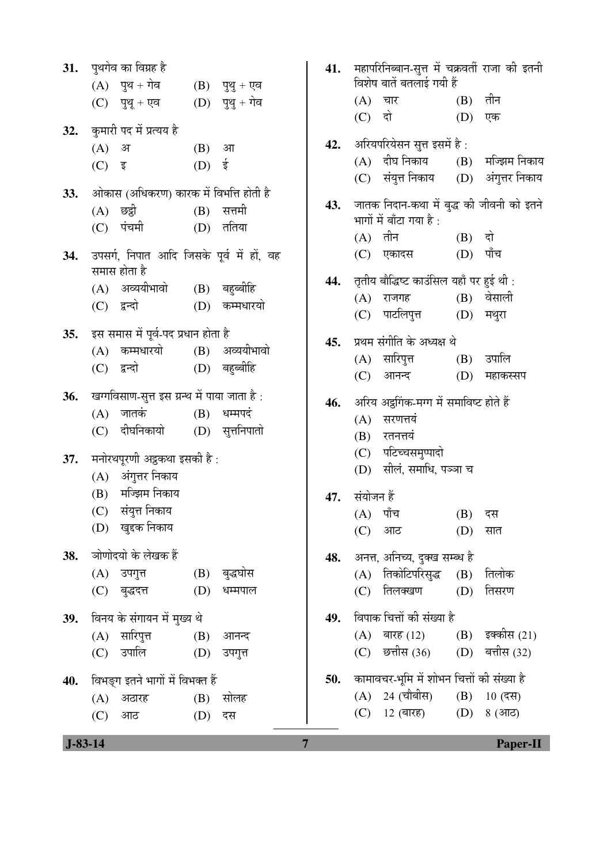|     | 31. पुथगेव का विग्रह है                                        |  |  |  |  |
|-----|----------------------------------------------------------------|--|--|--|--|
|     | (A) पुथ + गेव<br>(B) पुथु + एव                                 |  |  |  |  |
|     | $(D)$ पुथु + गेव<br>(C) पुथू + एव                              |  |  |  |  |
| 32. | कुमारी पद में प्रत्यय है                                       |  |  |  |  |
|     | (A) अ<br>(B) आ                                                 |  |  |  |  |
|     | $(D)$ ई<br>(C) इ                                               |  |  |  |  |
|     | 33. आेकास (अधिकरण) कारक में विभत्ति होती है                    |  |  |  |  |
|     | (A) छद्वी<br>(B) सत्तमी                                        |  |  |  |  |
|     | (D) ततिया<br>(C) पंचमी                                         |  |  |  |  |
|     | 34.  उपसर्ग, निपात आदि जिसके पूर्व में हों, वह<br>समास होता है |  |  |  |  |
|     | (A) अव्ययीभावो (B) बहुब्बीहि                                   |  |  |  |  |
|     | (D) कम्मधारयो<br>(C) द्वन्दो                                   |  |  |  |  |
|     |                                                                |  |  |  |  |
|     | 35. इस समास में पूर्व-पद प्रधान होता है                        |  |  |  |  |
|     | (A) कम्मधारयो (B) अव्ययीभावो                                   |  |  |  |  |
|     | (D) बहुब्बीहि<br>(C) द्वन्दो                                   |  |  |  |  |
| 36. | खग्गविसाण-सुत्त इस ग्रन्थ में पाया जाता है:                    |  |  |  |  |
|     | (A) जातकं<br>$(B)$ धम्मपदं                                     |  |  |  |  |
|     | (D) सुत्तनिपातो<br>(C) दीघनिकायो                               |  |  |  |  |
|     | 37. मनोरथपूरणी अट्ठकथा इसकी है:                                |  |  |  |  |
|     | (A) अंगुत्तर निकाय                                             |  |  |  |  |
|     | (B) मज्झिम निकाय                                               |  |  |  |  |
|     | (C) संयुत्त निकाय                                              |  |  |  |  |
|     | (D) खुद्दक निकाय                                               |  |  |  |  |
|     | 38. जोणोदयो के लेखक हैं                                        |  |  |  |  |
|     | (B) बुद्धघोस<br>(A) उपगुत्त                                    |  |  |  |  |
|     | $(D)$ धम्मपाल<br>(C) बुद्धदत्त                                 |  |  |  |  |
|     | 39. विनय के संगायन में मुख्य थे                                |  |  |  |  |
|     | (A) सारिपुत्त<br>(B) आनन्द                                     |  |  |  |  |
|     | (C) उपालि<br>(D) उपगुत्त                                       |  |  |  |  |
|     | 40. विभङ्ग इतने भागों में विभक्त हैं                           |  |  |  |  |
|     | (B) सोलह<br>(A) अठारह                                          |  |  |  |  |
|     | (C) आठ<br>(D) दस                                               |  |  |  |  |
|     |                                                                |  |  |  |  |

| 31.<br>32.<br>33. | पुथगेव का विग्रह है<br>$(A)$ पुथ + गेव<br>(C) पुथू + एव<br>कुमारी पद में प्रत्यय है<br>(A)<br>अ<br>$(C)$ इ<br>ओकास (अधिकरण) कारक में विभत्ति होती है<br>$(A)$ छद्वी<br>पंचमी<br>(C) | $(B)$ पुथु + एव<br>$(D)$ पुथु + गेव<br>(B)<br>आ<br>ई<br>(D)<br>सत्तमी<br>(B)<br>ततिया<br>(D) | 41.<br>42.<br>43. | महापरिनिब्बान-सुत्त में चक्रवर्ती राजा की इतनी<br>विशेष बातें बतलाई गयी हैं<br>$(A)$ चार<br>(B)<br>तीन<br>दो<br>(C)<br>(D)<br>एक<br>अरियपरियेसन सुत्त इसमें है:<br>(A) दीघ निकाय<br>(B) मज्झिम निकाय<br>संयुत्त निकाय (D) अंगुत्तर निकाय<br>(C)<br>जातक निदान-कथा में बुद्ध की जीवनी को इतने<br>भागों में बाँटा गया है :<br>$(A)$ तीन<br>$(B)$ दो<br>पाँच |
|-------------------|-------------------------------------------------------------------------------------------------------------------------------------------------------------------------------------|----------------------------------------------------------------------------------------------|-------------------|-----------------------------------------------------------------------------------------------------------------------------------------------------------------------------------------------------------------------------------------------------------------------------------------------------------------------------------------------------------|
| 34.               | उपसर्ग, निपात आदि जिसके पूर्व में हों, वह<br>समास होता है<br>(A) अव्ययीभावो<br>(C) द्वन्दो                                                                                          | (B) बहुब्बीहि<br>कम्मधारयो<br>(D)                                                            | 44.               | (D)<br>$(C)$ एकादस<br>तृतीय बौद्धिष्ट काउंसिल यहाँ पर हुई थी :<br>$(B)$ वेसाली<br>(A) राजगह<br>पाटलिपुत्त<br>(D)<br>मथुरा<br>(C)                                                                                                                                                                                                                          |
| 35.               | इस समास में पूर्व-पद प्रधान होता है<br>कम्मधारयो<br>(A)<br>(C) द्वन्दो                                                                                                              | (B) अव्ययीभावो<br>(D) बहुब्बीहि                                                              | 45.               | प्रथम संगीति के अध्यक्ष थे<br>(A) सारिपुत्त<br>उपालि<br>(B)<br>(C)<br>आनन्द<br>(D)<br>महाकस्सप                                                                                                                                                                                                                                                            |
| 36.               | खग्गविसाण-सुत्त इस ग्रन्थ में पाया जाता है:<br>जातकं<br>(A)<br>दीघनिकायो<br>(C)                                                                                                     | $(B)$ धम्मपदं<br>(D) सुत्तनिपातो                                                             | 46.               | अरिय अट्ठगिंक-मग्ग में समाविष्ट होते हैं<br>सरणत्तयं<br>(A)<br>(B)<br>रतनत्तयं                                                                                                                                                                                                                                                                            |
| 37.               | मनोरथपूरणी अट्ठकथा इसकी है:<br>(A) अंगुत्तर निकाय<br>मज्झिम निकाय<br>(B)<br>(C) संयुत्त निकाय<br>(D) खुद्दक निकाय                                                                   |                                                                                              | 47.               | (C) पटिच्चसमुप्पादो<br>सीलं, समाधि, पञ्जा च<br>(D)<br>संयोजन हैं<br>(A) पाँच<br>$(B)$ दस<br>(D)<br>(C)<br>आठ<br>सात                                                                                                                                                                                                                                       |
| 38.               | ञोणोदयो के लेखक हैं<br>(A) उपगुत्त<br>(C)<br>बुद्धदत्त                                                                                                                              | (B) बुद्धघोस<br>(D)<br>धम्मपाल                                                               | 48.               | अनत्त, अनिच्य, दुक्ख सम्ब्ध है<br>(A) तिकोटिपरिसुद्ध<br>(B)<br>तिलोक<br>तिलक्खण<br>तिसरण<br>(D)<br>(C)                                                                                                                                                                                                                                                    |
| 39.               | विनय के संगायन में मुख्य थे<br>(A) सारिपुत्त<br>उपालि<br>(C)                                                                                                                        | (B)<br>आनन्द<br>(D)<br>उपगुत्त                                                               | 49.               | विपाक चित्तों की संख्या है<br>(B) इक्कीस (21)<br>$(A)$ बारह (12)<br>(D) बत्तीस (32)<br>छत्तीस (36)<br>(C)                                                                                                                                                                                                                                                 |
| 40.               | विभङ्ग इतने भागों में विभक्त हैं<br>$(A)$ अठारह<br>(C)<br>आठ                                                                                                                        | सोलह<br>(B)<br>(D)<br>दस                                                                     | 50.               | कामावचर-भूमि में शोभन चित्तों की संख्या है<br>(A) 24 (चौबीस)<br>$(B)$ 10 (दस)<br>12 (बारह) $(D)$<br>8 (आठ)<br>(C)                                                                                                                                                                                                                                         |
| $J-83-14$         |                                                                                                                                                                                     |                                                                                              | $\overline{7}$    | <b>Paper-II</b>                                                                                                                                                                                                                                                                                                                                           |